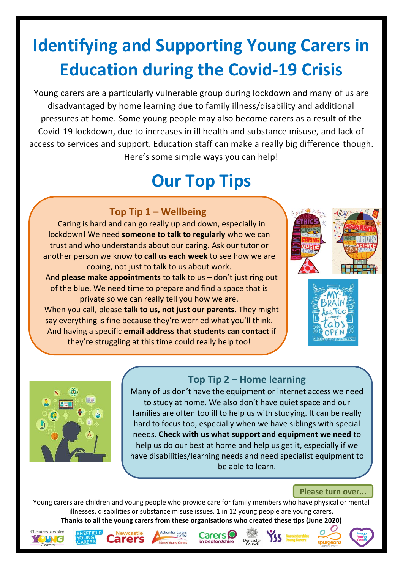# **Identifying and Supporting Young Carers in Education during the Covid-19 Crisis**

Young carers are a particularly vulnerable group during lockdown and many of us are disadvantaged by home learning due to family illness/disability and additional pressures at home. Some young people may also become carers as a result of the Covid-19 lockdown, due to increases in ill health and substance misuse, and lack of access to services and support. Education staff can make a really big difference though. Here's some simple ways you can help!

## **Our Top Tips**

## **Top Tip 1 – Wellbeing**

Caring is hard and can go really up and down, especially in lockdown! We need **someone to talk to regularly** who we can trust and who understands about our caring. Ask our tutor or another person we know **to call us each week** to see how we are coping, not just to talk to us about work. And **please make appointments** to talk to us – don't just ring out of the blue. We need time to prepare and find a space that is private so we can really tell you how we are. When you call, please **talk to us, not just our parents**. They might say everything is fine because they're worried what you'll think. And having a specific **email address that students can contact** if they're struggling at this time could really help too!







## **Top Tip 2 – Home learning**

Many of us don't have the equipment or internet access we need to study at home. We also don't have quiet space and our families are often too ill to help us with studying. It can be really hard to focus too, especially when we have siblings with special needs. **Check with us what support and equipment we need** to help us do our best at home and help us get it, especially if we have disabilities/learning needs and need specialist equipment to be able to learn.

#### **Please turn over...**

Young carers are children and young people who provide care for family members who have physical or mental illnesses, disabilities or substance misuse issues. 1 in 12 young people are young carers. **Thanks to all the young carers from these organisations who created these tips (June 2020)**